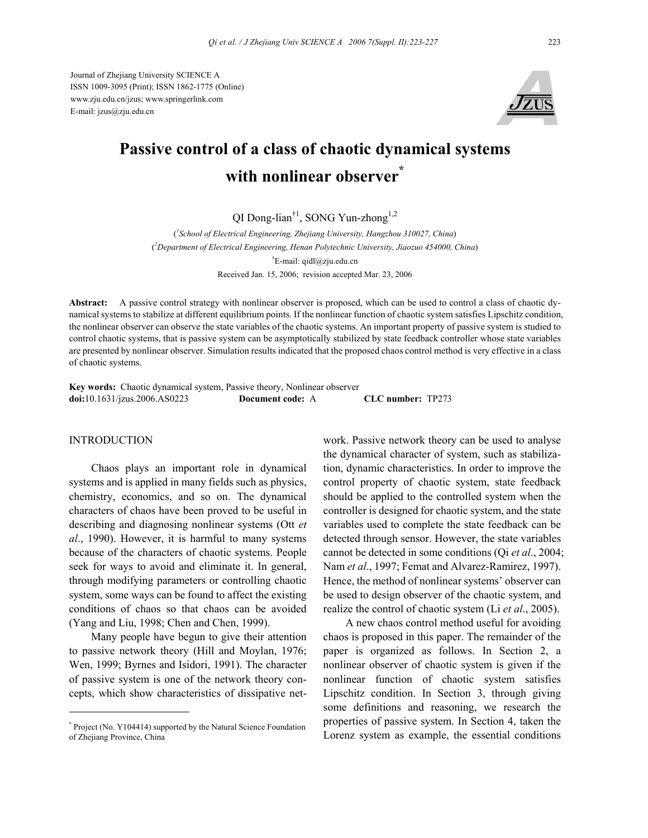Journal of Zhejiang University SCIENCE A ISSN 1009-3095 (Print); ISSN 1862-1775 (Online) www.zju.edu.cn/jzus; www.springerlink.com E-mail: jzus@zju.edu.cn



# **Passive control of a class of chaotic dynamical systems with nonlinear observer\***

QI Dong-lian<sup>†1</sup>, SONG Yun-zhong<sup>1,2</sup>

( *1 School of Electrical Engineering, Zhejiang University, Hangzhou 310027, China*) ( *2 Department of Electrical Engineering, Henan Polytechnic University, Jiaozuo 454000, China*) † E-mail: qidl@zju.edu.cn Received Jan. 15, 2006; revision accepted Mar. 23, 2006

**Abstract:** A passive control strategy with nonlinear observer is proposed, which can be used to control a class of chaotic dynamical systems to stabilize at different equilibrium points. If the nonlinear function of chaotic system satisfies Lipschitz condition, the nonlinear observer can observe the state variables of the chaotic systems. An important property of passive system is studied to control chaotic systems, that is passive system can be asymptotically stabilized by state feedback controller whose state variables are presented by nonlinear observer. Simulation results indicated that the proposed chaos control method is very effective in a class of chaotic systems.

**Key words:** Chaotic dynamical system, Passive theory, Nonlinear observer **doi:**10.1631/jzus.2006.AS0223 **Document code:** A **CLC number:** TP273

#### INTRODUCTION

Chaos plays an important role in dynamical systems and is applied in many fields such as physics, chemistry, economics, and so on. The dynamical characters of chaos have been proved to be useful in describing and diagnosing nonlinear systems (Ott *et al*., 1990). However, it is harmful to many systems because of the characters of chaotic systems. People seek for ways to avoid and eliminate it. In general, through modifying parameters or controlling chaotic system, some ways can be found to affect the existing conditions of chaos so that chaos can be avoided (Yang and Liu, 1998; Chen and Chen, 1999).

Many people have begun to give their attention to passive network theory (Hill and Moylan, 1976; Wen, 1999; Byrnes and Isidori, 1991). The character of passive system is one of the network theory concepts, which show characteristics of dissipative network. Passive network theory can be used to analyse the dynamical character of system, such as stabilization, dynamic characteristics. In order to improve the control property of chaotic system, state feedback should be applied to the controlled system when the controller is designed for chaotic system, and the state variables used to complete the state feedback can be detected through sensor. However, the state variables cannot be detected in some conditions (Qi *et al*., 2004; Nam *et al*., 1997; Femat and Alvarez-Ramirez, 1997). Hence, the method of nonlinear systems' observer can be used to design observer of the chaotic system, and realize the control of chaotic system (Li *et al*., 2005).

A new chaos control method useful for avoiding chaos is proposed in this paper. The remainder of the paper is organized as follows. In Section 2, a nonlinear observer of chaotic system is given if the nonlinear function of chaotic system satisfies Lipschitz condition. In Section 3, through giving some definitions and reasoning, we research the properties of passive system. In Section 4, taken the Lorenz system as example, the essential conditions

<sup>\*</sup> Project (No. Y104414) supported by the Natural Science Foundation of Zhejiang Province, China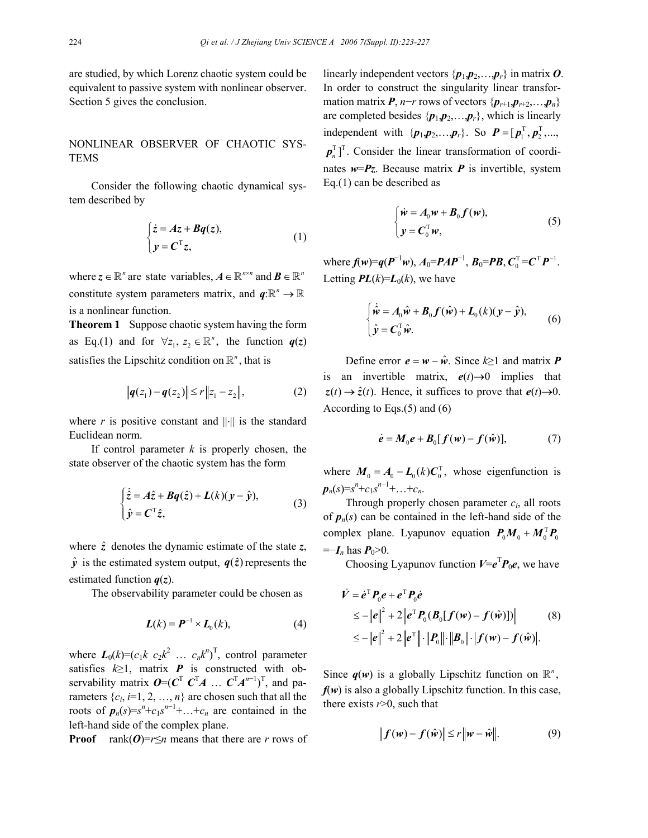are studied, by which Lorenz chaotic system could be equivalent to passive system with nonlinear observer. Section 5 gives the conclusion.

## NONLINEAR OBSERVER OF CHAOTIC SYS-TEMS

Consider the following chaotic dynamical system described by

$$
\begin{cases} \n\dot{z} = Az + Bq(z), \\ \n y = C^{\mathrm{T}} z, \n\end{cases} \tag{1}
$$

where  $z \in \mathbb{R}^n$  are state variables,  $A \in \mathbb{R}^{n \times n}$  and  $B \in \mathbb{R}^n$ constitute system parameters matrix, and  $q : \mathbb{R}^n \to \mathbb{R}$ is a nonlinear function.

**Theorem 1** Suppose chaotic system having the form as Eq.(1) and for  $\forall z_1, z_2 \in \mathbb{R}^n$ , the function  $q(z)$ satisfies the Lipschitz condition on  $\mathbb{R}^n$ , that is

$$
||q(z_1) - q(z_2)|| \le r ||z_1 - z_2||, \tag{2}
$$

where *r* is positive constant and  $\|\cdot\|$  is the standard Euclidean norm.

If control parameter *k* is properly chosen, the state observer of the chaotic system has the form

$$
\begin{cases} \dot{\hat{z}} = A\hat{z} + Bq(\hat{z}) + L(k)(y - \hat{y}), \\ \hat{y} = C^{\mathrm{T}}\hat{z}, \end{cases}
$$
 (3)

where  $\hat{z}$  denotes the dynamic estimate of the state  $z$ ,  $\hat{y}$  is the estimated system output,  $q(\hat{z})$  represents the estimated function *q*(*z*).

The observability parameter could be chosen as

$$
\boldsymbol{L}(k) = \boldsymbol{P}^{-1} \times \boldsymbol{L}_0(k),\tag{4}
$$

where  $L_0(k)=(c_1k \ c_2k^2 \ \dots \ c_nk^n)^T$ , control parameter satisfies  $k \geq 1$ , matrix **P** is constructed with observability matrix  $O=(C^T C^T A \dots C^T A^{n-1})^T$ , and parameters  $\{c_i, i=1, 2, ..., n\}$  are chosen such that all the roots of  $p_n(s) = s^n + c_1 s^{n-1} + \ldots + c_n$  are contained in the left-hand side of the complex plane.

**Proof** rank $(O) = r \le n$  means that there are *r* rows of

linearly independent vectors  $\{p_1, p_2, \ldots, p_r\}$  in matrix O. In order to construct the singularity linear transformation matrix  $P$ , *n*−*r* rows of vectors { $p_{r+1}, p_{r+2}, \ldots, p_n$ } are completed besides  $\{p_1, p_2, \ldots, p_r\}$ , which is linearly independent with  $\{p_1, p_2, ..., p_r\}$ . So  $P = [p_1^T, p_2^T, ..., p_r^T]$  $p_n^{\mathrm{T}}$ . Consider the linear transformation of coordinates  $w = Pz$ . Because matrix *P* is invertible, system Eq.(1) can be described as

$$
\begin{cases} \dot{\mathbf{w}} = A_0 \mathbf{w} + \mathbf{B}_0 \mathbf{f}(\mathbf{w}), \\ \mathbf{y} = \mathbf{C}_0^{\mathrm{T}} \mathbf{w}, \end{cases}
$$
 (5)

 $\mathbf{w} = \mathbf{f}(\mathbf{w}) = \mathbf{q}(\mathbf{P}^{-1}\mathbf{w}), \mathbf{A}_0 = \mathbf{P}\mathbf{A}\mathbf{P}^{-1}, \mathbf{B}_0 = \mathbf{P}\mathbf{B}, \mathbf{C}_0^{\mathrm{T}} = \mathbf{C}^{\mathrm{T}}\mathbf{P}^{-1}.$ Letting  $PL(k)=L_0(k)$ , we have

$$
\begin{cases}\n\dot{\hat{\mathbf{w}}} = A_0 \hat{\mathbf{w}} + B_0 \mathbf{f}(\hat{\mathbf{w}}) + L_0(k)(\mathbf{y} - \hat{\mathbf{y}}), \\
\hat{\mathbf{y}} = \mathbf{C}_0^{\mathrm{T}} \hat{\mathbf{w}}.\n\end{cases} \tag{6}
$$

Define error  $e = w - \hat{w}$ . Since  $k \ge 1$  and matrix *P* is an invertible matrix,  $e(t) \rightarrow 0$  implies that  $z(t) \rightarrow \hat{z}(t)$ . Hence, it suffices to prove that  $e(t) \rightarrow 0$ . According to Eqs.(5) and (6)

$$
\dot{e} = M_0 e + B_0 [f(w) - f(\hat{w})], \qquad (7)
$$

where  $M_0 = A_0 - L_0(k)C_0^T$ , whose eigenfunction is  $p_n(s) = s^n + c_1 s^{n-1} + \ldots + c_n.$ 

Through properly chosen parameter *ci*, all roots of  $p_n(s)$  can be contained in the left-hand side of the complex plane. Lyapunov equation  $P_0 M_0 + M_0^{\mathrm{T}} P_0$  $=-I_n$  has  $P_0>0$ .

Choosing Lyapunov function  $V = e^T P_0 e$ , we have

$$
\dot{V} = \dot{e}^{\mathrm{T}} P_0 e + e^{\mathrm{T}} P_0 \dot{e}
$$
\n
$$
\leq -||e||^2 + 2||e^{\mathrm{T}} P_0 (B_0[f(w) - f(\hat{w})])|| \tag{8}
$$
\n
$$
\leq -||e||^2 + 2||e^{\mathrm{T}}|| \cdot ||P_0|| \cdot ||B_0|| \cdot |f(w) - f(\hat{w})|.
$$

Since  $q(w)$  is a globally Lipschitz function on  $\mathbb{R}^n$ ,  $f(w)$  is also a globally Lipschitz function. In this case, there exists  $r > 0$ , such that

$$
||f(w) - f(\hat{w})|| \le r||w - \hat{w}||. \tag{9}
$$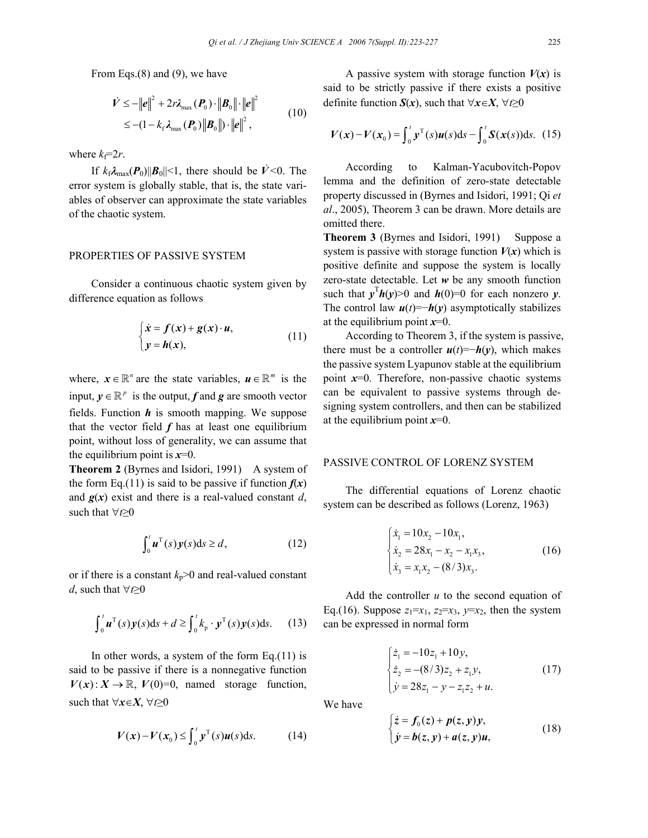From Eqs.(8) and (9), we have

$$
\dot{V} \le -\|\boldsymbol{e}\|^2 + 2r\lambda_{\max}(\boldsymbol{P}_0) \cdot \|\boldsymbol{B}_0\| \cdot \|\boldsymbol{e}\|^2
$$
  
\n
$$
\le - (1 - k_\text{f} \lambda_{\max}(\boldsymbol{P}_0) \|\boldsymbol{B}_0\|) \cdot \|\boldsymbol{e}\|^2,
$$
 (10)

where  $k_f=2r$ .

If  $k_f \lambda_{\text{max}}(\boldsymbol{P}_0) ||\boldsymbol{B}_0|| \leq 1$ , there should be  $\dot{V} \leq 0$ . The error system is globally stable, that is, the state variables of observer can approximate the state variables of the chaotic system.

## PROPERTIES OF PASSIVE SYSTEM

Consider a continuous chaotic system given by difference equation as follows

$$
\begin{cases} \n\dot{x} = f(x) + g(x) \cdot u, \\ \ny = h(x), \n\end{cases}
$$
\n(11)

where,  $x \in \mathbb{R}^n$  are the state variables,  $u \in \mathbb{R}^m$  is the input,  $y \in \mathbb{R}^p$  is the output, *f* and *g* are smooth vector fields. Function *h* is smooth mapping. We suppose that the vector field  $f$  has at least one equilibrium point, without loss of generality, we can assume that the equilibrium point is  $x=0$ .

**Theorem 2** (Byrnes and Isidori, 1991) A system of the form Eq.(11) is said to be passive if function  $f(x)$ and  $g(x)$  exist and there is a real-valued constant *d*, such that ∀*t*≥0

$$
\int_0^t \boldsymbol{u}^{\mathrm{T}}(s)\boldsymbol{y}(s)\mathrm{d}s \geq d,\tag{12}
$$

or if there is a constant  $k_p$ >0 and real-valued constant *d*, such that ∀*t*≥0

$$
\int_0^t \boldsymbol{u}^{\mathrm{T}}(s)\boldsymbol{y}(s)\mathrm{d}s + d \ge \int_0^t k_{\mathrm{p}} \cdot \boldsymbol{y}^{\mathrm{T}}(s)\boldsymbol{y}(s)\mathrm{d}s. \tag{13}
$$

In other words, a system of the form  $Eq.(11)$  is said to be passive if there is a nonnegative function  $V(x)$ :  $X \to \mathbb{R}$ ,  $V(0)=0$ , named storage function, such that  $\forall x \in X, \forall t \geq 0$ 

$$
V(\mathbf{x}) - V(\mathbf{x}_0) \le \int_0^t \mathbf{y}^\mathrm{T}(s) \mathbf{u}(s) \, \mathrm{d}s. \tag{14}
$$

A passive system with storage function  $V(x)$  is said to be strictly passive if there exists a positive definite function *S*(*x*), such that ∀*x*∈*X*, ∀*t*≥0

$$
V(x) - V(x_0) = \int_0^t y^T(s)u(s)ds - \int_0^t S(x(s))ds.
$$
 (15)

According to Kalman-Yacubovitch-Popov lemma and the definition of zero-state detectable property discussed in (Byrnes and Isidori, 1991; Qi *et al*., 2005), Theorem 3 can be drawn. More details are omitted there.

**Theorem 3** (Byrnes and Isidori, 1991) Suppose a system is passive with storage function  $V(x)$  which is positive definite and suppose the system is locally zero-state detectable. Let *w* be any smooth function such that  $y^T h(y) > 0$  and  $h(0)=0$  for each nonzero *y*. The control law  $u(t) = -h(y)$  asymptotically stabilizes at the equilibrium point *x*=0.

According to Theorem 3, if the system is passive, there must be a controller  $u(t) = -h(y)$ , which makes the passive system Lyapunov stable at the equilibrium point *x*=0. Therefore, non-passive chaotic systems can be equivalent to passive systems through designing system controllers, and then can be stabilized at the equilibrium point *x*=0.

### PASSIVE CONTROL OF LORENZ SYSTEM

The differential equations of Lorenz chaotic system can be described as follows (Lorenz, 1963)

$$
\begin{cases}\n\dot{x}_1 = 10x_2 - 10x_1, \\
\dot{x}_2 = 28x_1 - x_2 - x_1x_3, \\
\dot{x}_3 = x_1x_2 - (8/3)x_3.\n\end{cases}
$$
\n(16)

Add the controller *u* to the second equation of Eq.(16). Suppose  $z_1=x_1$ ,  $z_2=x_3$ ,  $y=x_2$ , then the system can be expressed in normal form

$$
\begin{cases} \n\dot{z}_1 = -10z_1 + 10y, \\ \n\dot{z}_2 = -(8/3)z_2 + z_1y, \\ \n\dot{y} = 28z_1 - y - z_1z_2 + u. \n\end{cases} \tag{17}
$$

We have

$$
\begin{cases} \n\dot{z} = f_0(z) + p(z, y)y, \\ \n\dot{y} = b(z, y) + a(z, y)u, \n\end{cases}
$$
\n(18)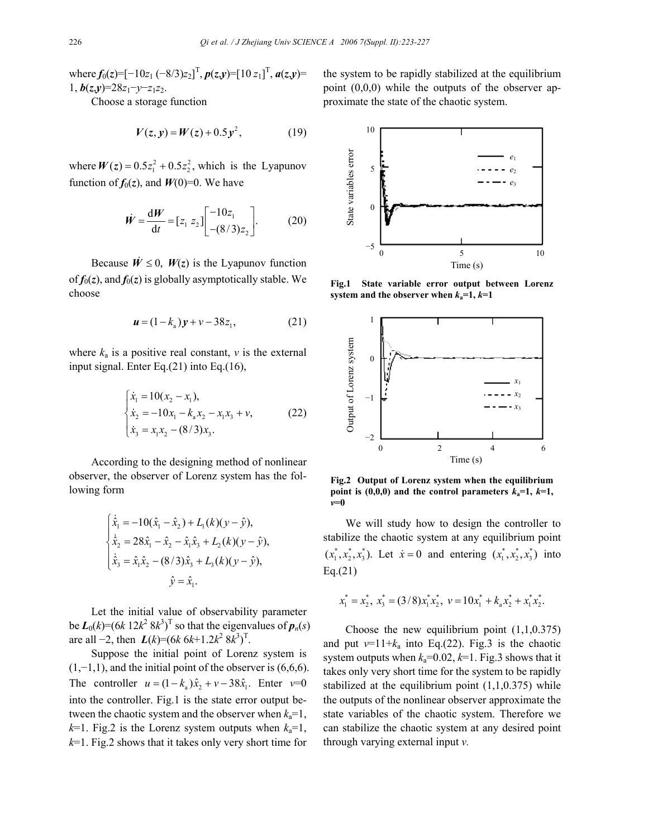where  $f_0(z) = [-10z_1(-8/3)z_2]^T$ ,  $p(z,y) = [10z_1]^T$ ,  $a(z,y) =$ 1, *b*(*z*,*y*)=28*z*1−*y*−*z*1*z*2.

Choose a storage function

$$
V(z, y) = W(z) + 0.5y^{2}, \qquad (19)
$$

where  $W(z) = 0.5z_1^2 + 0.5z_2^2$ , which is the Lyapunov function of  $f_0(z)$ , and  $W(0)=0$ . We have

$$
\dot{W} = \frac{dW}{dt} = [z_1 \ z_2] \begin{bmatrix} -10z_1 \\ -(8/3)z_2 \end{bmatrix} . \tag{20}
$$

Because  $\dot{W} \le 0$ ,  $W(z)$  is the Lyapunov function of  $f_0(z)$ , and  $f_0(z)$  is globally asymptotically stable. We choose

$$
\mathbf{u} = (1 - k_{a})\mathbf{y} + \mathbf{v} - 38z_{1}, \tag{21}
$$

where  $k_a$  is a positive real constant,  $\nu$  is the external input signal. Enter Eq.(21) into Eq.(16),

$$
\begin{cases}\n\dot{x}_1 = 10(x_2 - x_1), \\
\dot{x}_2 = -10x_1 - k_a x_2 - x_1 x_3 + v, \\
\dot{x}_3 = x_1 x_2 - (8/3)x_3.\n\end{cases}
$$
\n(22)

According to the designing method of nonlinear observer, the observer of Lorenz system has the following form

$$
\begin{cases}\n\dot{\hat{x}}_1 = -10(\hat{x}_1 - \hat{x}_2) + L_1(k)(y - \hat{y}), \\
\dot{\hat{x}}_2 = 28\hat{x}_1 - \hat{x}_2 - \hat{x}_1\hat{x}_3 + L_2(k)(y - \hat{y}), \\
\dot{\hat{x}}_3 = \hat{x}_1\hat{x}_2 - (8/3)\hat{x}_3 + L_3(k)(y - \hat{y}), \\
\hat{y} = \hat{x}_1.\n\end{cases}
$$

Let the initial value of observability parameter be  $L_0(k)=(6k \ 12k^2 \ 8k^3)^T$  so that the eigenvalues of  $p_n(s)$ are all −2, then  $L(k)=(6k)6k+1.2k^2 8k^3$ <sup>T</sup>.

Suppose the initial point of Lorenz system is  $(1,-1,1)$ , and the initial point of the observer is  $(6,6,6)$ . The controller  $u = (1 - k_a)\hat{x}_2 + v - 38\hat{x}_1$ . Enter  $v=0$ into the controller. Fig.1 is the state error output between the chaotic system and the observer when  $k_a=1$ ,  $k=1$ . Fig.2 is the Lorenz system outputs when  $k_a=1$ , *k*=1. Fig.2 shows that it takes only very short time for

the system to be rapidly stabilized at the equilibrium point (0,0,0) while the outputs of the observer approximate the state of the chaotic system.



**Fig.1 State variable error output between Lorenz**



**Fig.2 Output of Lorenz system when the equilibrium point is (0,0,0) and the control parameters**  $k_a=1$ **,**  $k=1$ **,** *v***=0** 

We will study how to design the controller to stabilize the chaotic system at any equilibrium point  $(x_1^*, x_2^*, x_3^*)$ . Let  $\dot{x} = 0$  and entering  $(x_1^*, x_2^*, x_3^*)$  into Eq.(21)

$$
x_1^* = x_2^*, \; x_3^* = (3/8)x_1^*x_2^*, \; v = 10x_1^* + k_a x_2^* + x_1^* x_2^*.
$$

Choose the new equilibrium point  $(1,1,0.375)$ and put  $v=11+k_a$  into Eq.(22). Fig.3 is the chaotic system outputs when  $k_a=0.02$ ,  $k=1$ . Fig.3 shows that it takes only very short time for the system to be rapidly stabilized at the equilibrium point  $(1,1,0.375)$  while the outputs of the nonlinear observer approximate the state variables of the chaotic system. Therefore we can stabilize the chaotic system at any desired point through varying external input *v.*